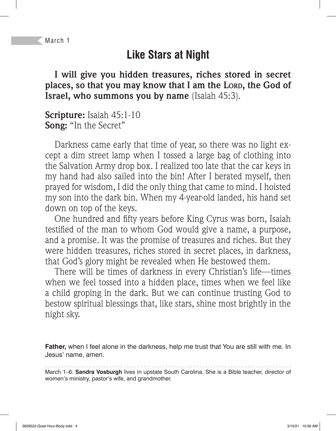# **Like Stars at Night**

**I will give you hidden treasures, riches stored in secret places, so that you may know that I am the LORD, the God of Israel, who summons you by name** (Isaiah 45:3).

**Scripture:** Isaiah 45:1-10 **Song:** "In the Secret"

Darkness came early that time of year, so there was no light except a dim street lamp when I tossed a large bag of clothing into the Salvation Army drop box. I realized too late that the car keys in my hand had also sailed into the bin! After I berated myself, then prayed for wisdom, I did the only thing that came to mind. I hoisted my son into the dark bin. When my 4-year-old landed, his hand set down on top of the keys.

One hundred and fifty years before King Cyrus was born, Isaiah testified of the man to whom God would give a name, a purpose, and a promise. It was the promise of treasures and riches. But they were hidden treasures, riches stored in secret places, in darkness, that God's glory might be revealed when He bestowed them.

There will be times of darkness in every Christian's life—times when we feel tossed into a hidden place, times when we feel like a child groping in the dark. But we can continue trusting God to bestow spiritual blessings that, like stars, shine most brightly in the night sky.

**Father,** when I feel alone in the darkness, help me trust that You are still with me. In Jesus' name, amen.

March 1–6. **Sandra Vosburgh** lives in upstate South Carolina. She is a Bible teacher, director of women's ministry, pastor's wife, and grandmother.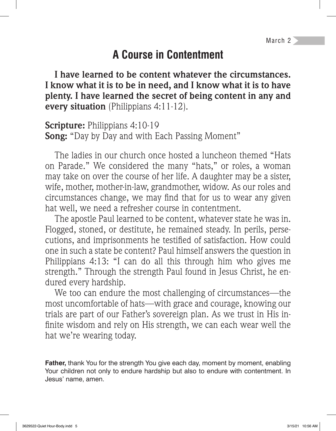## **A Course in Contentment**

**I have learned to be content whatever the circumstances. I know what it is to be in need, and I know what it is to have plenty. I have learned the secret of being content in any and every situation** (Philippians 4:11-12).

**Scripture:** Philippians 4:10-19 **Song:** "Day by Day and with Each Passing Moment"

The ladies in our church once hosted a luncheon themed "Hats on Parade." We considered the many "hats," or roles, a woman may take on over the course of her life. A daughter may be a sister, wife, mother, mother-in-law, grandmother, widow. As our roles and circumstances change, we may find that for us to wear any given hat well, we need a refresher course in contentment.

The apostle Paul learned to be content, whatever state he was in. Flogged, stoned, or destitute, he remained steady. In perils, persecutions, and imprisonments he testified of satisfaction. How could one in such a state be content? Paul himself answers the question in Philippians 4:13: "I can do all this through him who gives me strength." Through the strength Paul found in Jesus Christ, he endured every hardship.

We too can endure the most challenging of circumstances—the most uncomfortable of hats—with grace and courage, knowing our trials are part of our Father's sovereign plan. As we trust in His in finite wisdom and rely on His strength, we can each wear well the hat we're wearing today.

**Father,** thank You for the strength You give each day, moment by moment, enabling Your children not only to endure hardship but also to endure with contentment. In Jesus' name, amen.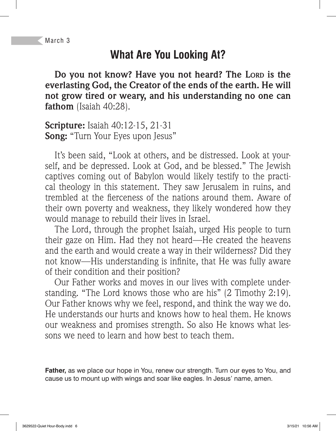### **What Are You Looking At?**

**Do you not know? Have you not heard? The LORD is the everlasting God, the Creator of the ends of the earth. He will not grow tired or weary, and his understanding no one can fathom** (Isaiah 40:28).

**Scripture:** Isaiah 40:12-15, 21-31 **Song:** "Turn Your Eyes upon Jesus"

It's been said, "Look at others, and be distressed. Look at yourself, and be depressed. Look at God, and be blessed." The Jewish captives coming out of Babylon would likely testify to the practical theology in this statement. They saw Jerusalem in ruins, and trembled at the fierceness of the nations around them. Aware of their own poverty and weakness, they likely wondered how they would manage to rebuild their lives in Israel.

The Lord, through the prophet Isaiah, urged His people to turn their gaze on Him. Had they not heard—He created the heavens and the earth and would create a way in their wilderness? Did they not know—His understanding is infinite, that He was fully aware of their condition and their position?

Our Father works and moves in our lives with complete understanding. "The Lord knows those who are his" (2 Timothy 2:19). Our Father knows why we feel, respond, and think the way we do. He understands our hurts and knows how to heal them. He knows our weakness and promises strength. So also He knows what lessons we need to learn and how best to teach them.

**Father,** as we place our hope in You, renew our strength. Turn our eyes to You, and cause us to mount up with wings and soar like eagles. In Jesus' name, amen.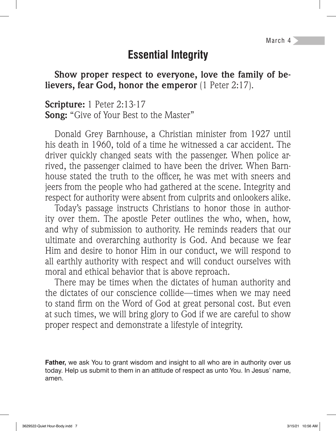March 4

#### **Essential Integrity**

**Show proper respect to everyone, love the family of believers, fear God, honor the emperor** (1 Peter 2:17).

**Scripture:** 1 Peter 2:13-17 **Song:** "Give of Your Best to the Master"

Donald Grey Barnhouse, a Christian minister from 1927 until his death in 1960, told of a time he witnessed a car accident. The driver quickly changed seats with the passenger. When police arrived, the passenger claimed to have been the driver. When Barnhouse stated the truth to the officer, he was met with sneers and jeers from the people who had gathered at the scene. Integrity and respect for authority were absent from culprits and onlookers alike.

Today's passage instructs Christians to honor those in authority over them. The apostle Peter outlines the who, when, how, and why of submission to authority. He reminds readers that our ultimate and overarching authority is God. And because we fear Him and desire to honor Him in our conduct, we will respond to all earthly authority with respect and will conduct ourselves with moral and ethical behavior that is above reproach.

There may be times when the dictates of human authority and the dictates of our conscience collide—times when we may need to stand firm on the Word of God at great personal cost. But even at such times, we will bring glory to God if we are careful to show proper respect and demonstrate a lifestyle of integrity.

**Father,** we ask You to grant wisdom and insight to all who are in authority over us today. Help us submit to them in an attitude of respect as unto You. In Jesus' name, amen.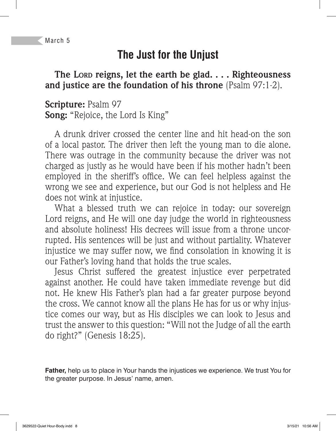# **The Just for the Unjust**

**The LORD reigns, let the earth be glad. . . . Righteousness and justice are the foundation of his throne** (Psalm 97:1-2).

**Scripture:** Psalm 97 **Song:** "Rejoice, the Lord Is King"

A drunk driver crossed the center line and hit head-on the son of a local pastor. The driver then left the young man to die alone. There was outrage in the community because the driver was not charged as justly as he would have been if his mother hadn't been employed in the sheriff's office. We can feel helpless against the wrong we see and experience, but our God is not helpless and He does not wink at injustice.

What a blessed truth we can rejoice in today: our sovereign Lord reigns, and He will one day judge the world in righteousness and absolute holiness! His decrees will issue from a throne uncorrupted. His sentences will be just and without partiality. Whatever injustice we may suffer now, we find consolation in knowing it is our Father's loving hand that holds the true scales.

Jesus Christ suffered the greatest injustice ever perpetrated against another. He could have taken immediate revenge but did not. He knew His Father's plan had a far greater purpose beyond the cross. We cannot know all the plans He has for us or why injustice comes our way, but as His disciples we can look to Jesus and trust the answer to this question: "Will not the Judge of all the earth do right?" (Genesis 18:25).

**Father,** help us to place in Your hands the injustices we experience. We trust You for the greater purpose. In Jesus' name, amen.